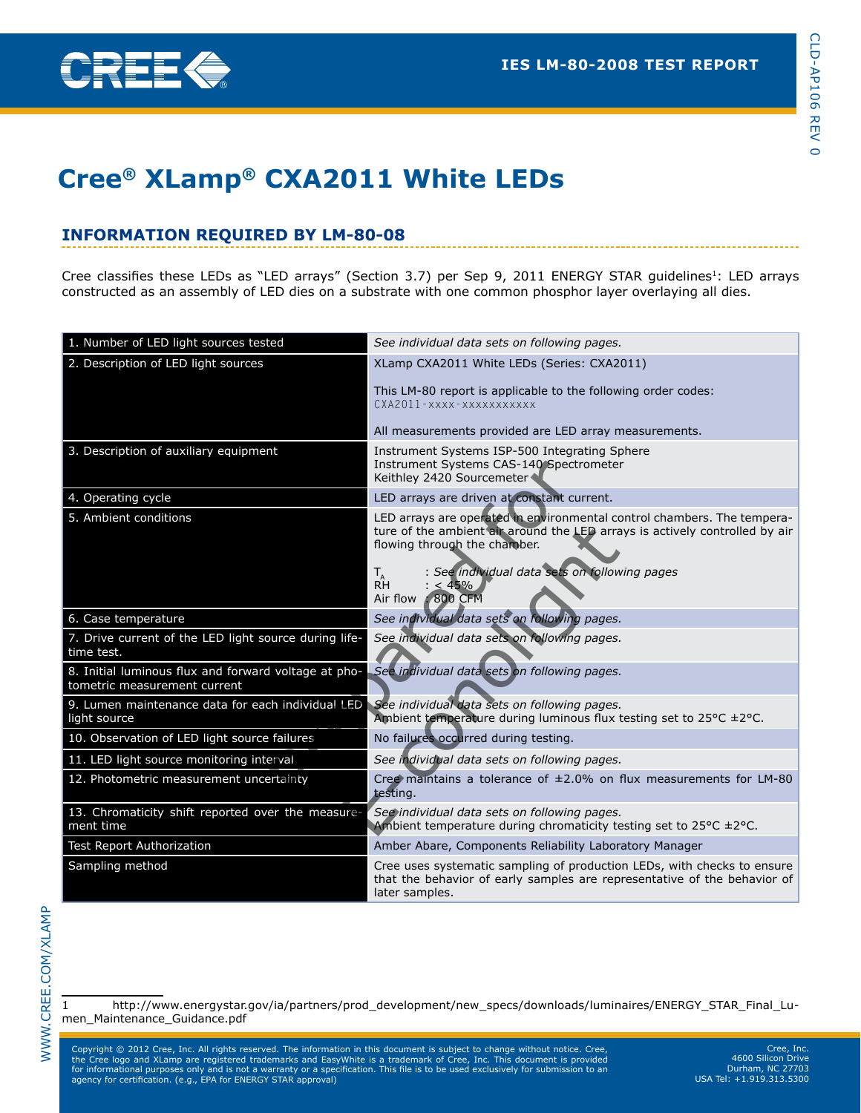

# **Cree® XLamp® CXA2011 White LEDs**

# **Information Required By LM-80-08**

Cree classifies these LEDs as "LED arrays" (Section 3.7) per Sep 9, 2011 ENERGY STAR guidelines<sup>1</sup>: LED arrays constructed as an assembly of LED dies on a substrate with one common phosphor layer overlaying all dies.

| 1. Number of LED light sources tested                                                | See individual data sets on following pages.                                                                                                                                                                                                                                                |
|--------------------------------------------------------------------------------------|---------------------------------------------------------------------------------------------------------------------------------------------------------------------------------------------------------------------------------------------------------------------------------------------|
| 2. Description of LED light sources                                                  | XLamp CXA2011 White LEDs (Series: CXA2011)                                                                                                                                                                                                                                                  |
|                                                                                      | This LM-80 report is applicable to the following order codes:<br>CXA2011-XXXX-XXXXXXXXXXX<br>All measurements provided are LED array measurements.                                                                                                                                          |
|                                                                                      |                                                                                                                                                                                                                                                                                             |
| 3. Description of auxiliary equipment                                                | Instrument Systems ISP-500 Integrating Sphere<br>Instrument Systems CAS-140 Spectrometer<br>Keithley 2420 Sourcemeter                                                                                                                                                                       |
| 4. Operating cycle                                                                   | LED arrays are driven at constant current.                                                                                                                                                                                                                                                  |
| 5. Ambient conditions                                                                | LED arrays are operated in environmental control chambers. The tempera-<br>ture of the ambient air around the LED arrays is actively controlled by air<br>flowing through the chamber.<br>: See individual data sets on following pages<br>$T_{\rm AH}$<br>$: < 45\%$<br>Air flow : 800 CFM |
| 6. Case temperature                                                                  | See individual data sets on following pages.                                                                                                                                                                                                                                                |
| 7. Drive current of the LED light source during life-<br>time test.                  | See individual data sets on following pages.                                                                                                                                                                                                                                                |
| 8. Initial luminous flux and forward voltage at pho-<br>tometric measurement current | See individual data sets on following pages.                                                                                                                                                                                                                                                |
| 9. Lumen maintenance data for each individual LED<br>light source                    | See individual data sets on following pages.<br>Ambient temperature during luminous flux testing set to 25°C ±2°C.                                                                                                                                                                          |
| 10. Observation of LED light source failures                                         | No failures occurred during testing.                                                                                                                                                                                                                                                        |
| 11. LED light source monitoring interval                                             | See individual data sets on following pages.                                                                                                                                                                                                                                                |
| 12. Photometric measurement uncertainty                                              | Cree maintains a tolerance of $\pm 2.0\%$ on flux measurements for LM-80<br>testing.                                                                                                                                                                                                        |
| 13. Chromaticity shift reported over the measure-<br>ment time                       | See individual data sets on following pages.<br>Ambient temperature during chromaticity testing set to 25°C ±2°C.                                                                                                                                                                           |
| <b>Test Report Authorization</b>                                                     | Amber Abare, Components Reliability Laboratory Manager                                                                                                                                                                                                                                      |
| Sampling method                                                                      | Cree uses systematic sampling of production LEDs, with checks to ensure<br>that the behavior of early samples are representative of the behavior of<br>later samples.                                                                                                                       |

1 http://www.energystar.gov/ia/partners/prod\_development/new\_specs/downloads/luminaires/ENERGY\_STAR\_Final\_Lumen\_Maintenance\_Guidance.pdf

Copyright © 2012 Cree, Inc. All rights reserved. The information in this document is subject to change without notice.<br>The Cree logo and XLamp are registered trademarks and EasyWhite is a trademark of Cree, Inc. This docum Copyright © 2012 Cree, Inc. All rights reserved. The information in this document is subject to change without notice. Cree,<br>the Cree logo and XLamp are registered trademarks and EasyWhite is a trademark of Cree, Inc. This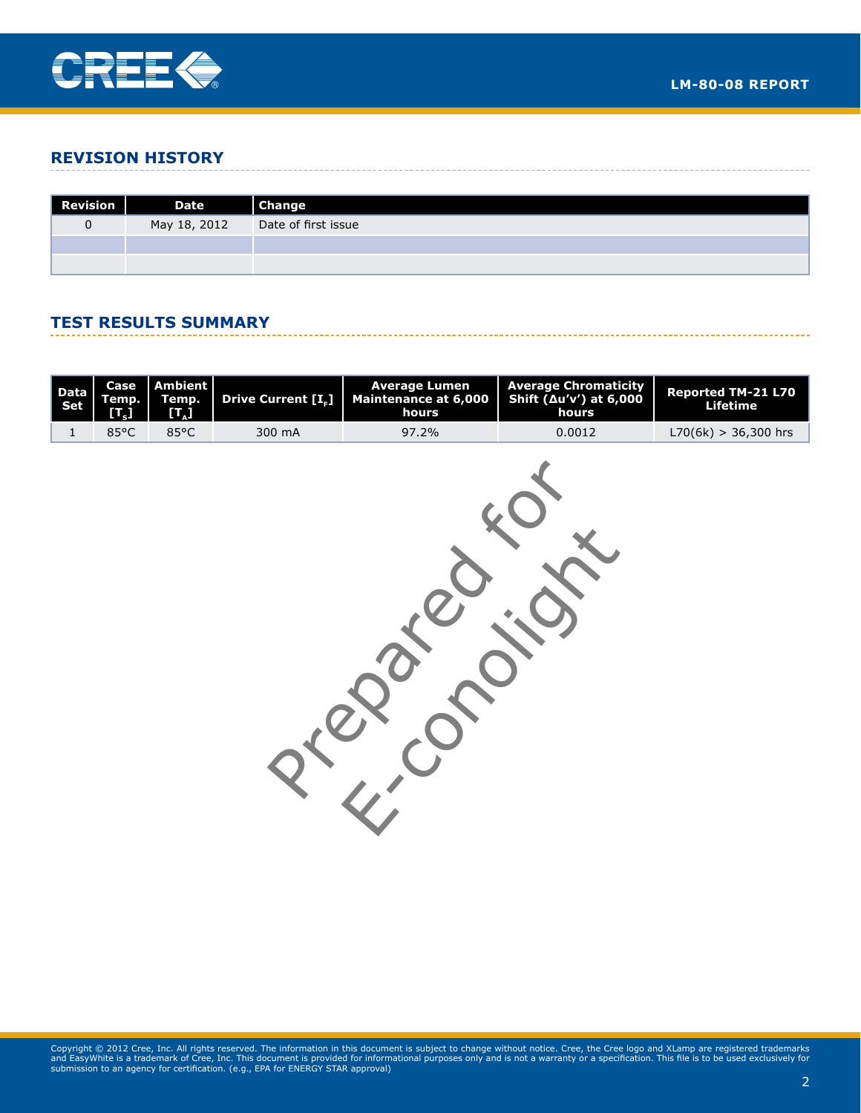

### **Revision History**

| Revision | <b>Date</b>  | <b>Change</b>       |
|----------|--------------|---------------------|
|          | May 18, 2012 | Date of first issue |
|          |              |                     |
|          |              |                     |

### **Test Results Summary**

|      |      |        | Data Case Ambient Temp. Temp. Drive Current $\begin{array}{ c c c c }\n\hline\n\text{Data} & \text{Time} & \text{Number} \\ \hline\n\text{Step 1: } & \text{Time} & \text{Price 1: } & \text{Minimum 2: } \\ \hline\n\text{Left} & \begin{array}{ c c c }\n\hline\n\text{Time} & \text{Average 2: } & \text{Number 3: } \\ \hline\n\text{Time} & \text{Time} & \text{Surface 3: } & \text{Number 4: } \\ \hline\n\text{Time} & \text{Time}$ | <b>Average Lumen</b>   Average Chromaticity | Reported TM-21 L70<br>Lifetime |
|------|------|--------|---------------------------------------------------------------------------------------------------------------------------------------------------------------------------------------------------------------------------------------------------------------------------------------------------------------------------------------------------------------------------------------------------------------------------------------------|---------------------------------------------|--------------------------------|
| 85°C | 85°C | 300 mA | 97.2%                                                                                                                                                                                                                                                                                                                                                                                                                                       | 0.0012                                      | $L70(6k) > 36,300$ hrs         |

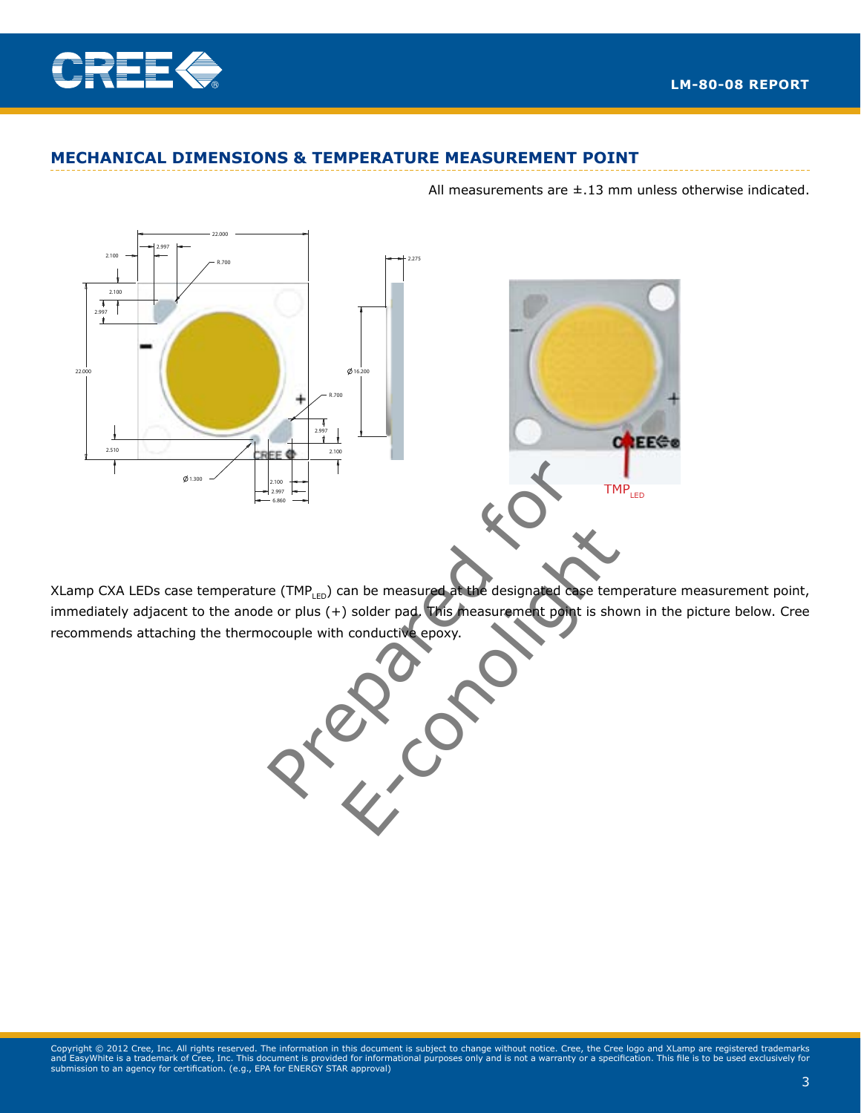

MAY NOT BE COPIED, REPRODUCED OR DISCLOSED TO ANY

#### **MECHANICAL DIMENSIONS & TEMPERATURE MEASUREMENT POINT** CONFIDENTIAL INFORMATION OF CREE, INC. THIS PLOT

All measurements are  $\pm$ .13 mm unless otherwise indicated.





XLamp CXA LEDs case temperature (TMP<sub>LED</sub>) can be measured at the designated case temperature measurement point, immediately adjacent to the anode or plus  $(+)$  solder pad. This measurement point is shown in the picture below. Cree recommends attaching the thermocouple with conductive epoxy.  $\overline{\phantom{a}}$ reasured at the designated case temperature SURFACE FINISH: 1.6 7.000 2 /2 *FE2201*

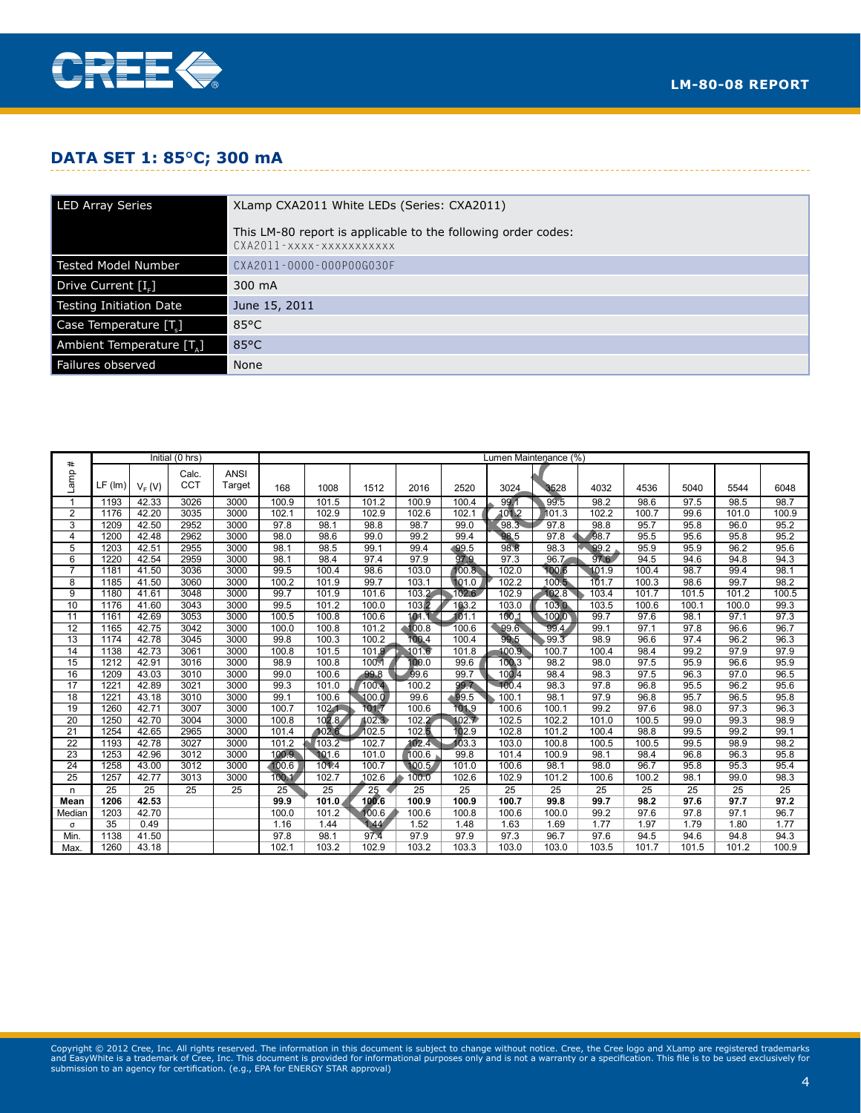

### **Data Set 1: 85**°**C; 300 mA**

| <b>LED Array Series</b>  | XLamp CXA2011 White LEDs (Series: CXA2011)                                                |
|--------------------------|-------------------------------------------------------------------------------------------|
|                          | This LM-80 report is applicable to the following order codes:<br>CXA2011-xxxx-xxxxxxxxxxx |
| Tested Model Number      | CXA2011-0000-000P00G030F                                                                  |
| Drive Current [I.]       | 300 mA                                                                                    |
| Testing Initiation Date  | June 15, 2011                                                                             |
| Case Temperature [T.]    | $85^{\circ}$ C                                                                            |
| Ambient Temperature [T.] | $85^{\circ}$ C                                                                            |
| Failures observed        | None                                                                                      |

|                     | Initial (0 hrs)  |                    |              | Lumen Maintenance (%) |              |              |              |                   |              |              |              |              |              |              |              |              |
|---------------------|------------------|--------------------|--------------|-----------------------|--------------|--------------|--------------|-------------------|--------------|--------------|--------------|--------------|--------------|--------------|--------------|--------------|
| #                   |                  |                    | Calc.        | <b>ANSI</b>           |              |              |              |                   |              |              |              |              |              |              |              |              |
| amp                 | $LF$ ( $Im$ )    | $V_F(V)$           | <b>CCT</b>   | Target                | 168          | 1008         | 1512         | 2016              | 2520         | 3024         | 3528         | 4032         | 4536         | 5040         | 5544         | 6048         |
|                     |                  |                    |              |                       |              |              |              |                   |              |              |              |              |              |              |              |              |
| 1                   | 1193             | 42.33              | 3026         | 3000                  | 100.9        | 101.5        | 101.2        | 100.9             | 100.4        | 99.1         | 99.5         | 98.2         | 98.6         | 97.5         | 98.5         | 98.7         |
| $\overline{2}$<br>3 | 1176             | 42.20              | 3035         | 3000                  | 102.1        | 102.9        | 102.9        | 102.6             | 102.1        | 101.2        | 101.3        | 102.2        | 100.7        | 99.6         | 101.0        | 100.9        |
| $\overline{4}$      | 1209<br>1200     | 42.50<br>42.48     | 2952<br>2962 | 3000<br>3000          | 97.8<br>98.0 | 98.1<br>98.6 | 98.8<br>99.0 | 98.7<br>99.2      | 99.0<br>99.4 | 98.3<br>98.5 | 97.8<br>97.8 | 98.8<br>98.7 | 95.7<br>95.5 | 95.8<br>95.6 | 96.0<br>95.8 | 95.2<br>95.2 |
| 5                   | 1203             | 42.51              | 2955         | 3000                  | 98.1         | 98.5         | 99.1         | 99.4              | 99.5         | 98.8         | 98.3         | 99.2         | 95.9         | 95.9         | 96.2         | 95.6         |
| 6                   | 1220             | 42.54              | 2959         | 3000                  | 98.1         | 98.4         | 97.4         | 97.9              | 97.9         | 97.3         | 96.7         | 97.6         | 94.5         | 94.6         | 94.8         | 94.3         |
| $\overline{7}$      | 1181             | 41.50              | 3036         | 3000                  | 99.5         | 100.4        | 98.6         | 103.0             | 100.8.       | 102.0        | 100.6        | 101.9        | 100.4        | 98.7         | 99.4         | 98.1         |
| 8                   | 1185             | 41.50              | 3060         | 3000                  | 100.2        | 101.9        | 99.7         | 103.1             | 101.0        | 102.2        | 100.5        | 101.7        | 100.3        | 98.6         | 99.7         | 98.2         |
| 9                   | 1180             | 41.61              | 3048         | 3000                  | 99.7         | 101.9        | 101.6        | 103.2             | 102.6        | 102.9        | 102.8        | 103.4        | 101.7        | 101.5        | 101.2        | 100.5        |
| 10                  | 1176             | 41.60              | 3043         | 3000                  | 99.5         | 101.2        | 100.0        | $103\overline{2}$ | 103.2        | 103.0        | 103.0        | 103.5        | 100.6        | 100.1        | 100.0        | 99.3         |
| 11                  | 1161             | 42.69              | 3053         | 3000                  | 100.5        | 100.8        | 100.6        | 101.7             | 101.1        | 100.1        | 100.0        | 99.7         | 97.6         | 98.1         | 97.1         | 97.3         |
| 12                  | 1165             | 42.75              | 3042         | 3000                  | 100.0        | 100.8        | 101.2        | 100.8             | 100.6        | 99.6         | 99.4         | 99.1         | 97.1         | 97.8         | 96.6         | 96.7         |
| 13                  | 1174             | 42.78              | 3045         | 3000                  | 99.8         | 100.3        | 100.2        | 100.4             | 100.4        | 99.5         | .99.3        | 98.9         | 96.6         | 97.4         | 96.2         | 96.3         |
| 14                  | 1138             | $\overline{42.73}$ | 3061         | 3000                  | 100.8        | 101.5        | 101.9        | 101.6             | 101.8        | 100.9        | 100.7        | 100.4        | 98.4         | 99.2         | 97.9         | 97.9         |
| 15                  | 1212             | 42.91              | 3016         | 3000                  | 98.9         | 100.8        | 100.1        | 100.0             | 99.6         | 100.3        | 98.2         | 98.0         | 97.5         | 95.9         | 96.6         | 95.9         |
| 16                  | 1209             | 43.03              | 3010         | 3000                  | 99.0         | 100.6        | 99.8         | 99.6              | 99.7         | 100.4        | 98.4         | 98.3         | 97.5         | 96.3         | 97.0         | 96.5         |
| 17                  | 122 <sup>1</sup> | 42.89              | 3021         | 3000                  | 99.3         | 101.0        | 100.4        | 100.2             | 99.7         | 100.4        | 98.3         | 97.8         | 96.8         | 95.5         | 96.2         | 95.6         |
| 18                  | 122 <sup>1</sup> | 43.18              | 3010         | 3000                  | 99.1         | 100.6        | 100.0        | 99.6              | $-99.5$      | 100.1        | 98.1         | 97.9         | 96.8         | 95.7         | 96.5         | 95.8         |
| 19                  | 1260             | 42.71              | 3007         | 3000                  | 100.7        | 102.1        | 101.7        | 100.6             | 101.9        | 100.6        | 100.1        | 99.2         | 97.6         | 98.0         | 97.3         | 96.3         |
| 20                  | 1250             | 42.70              | 3004         | 3000                  | 100.8        | 102.8        | 102.3        | 102.2'            | 102.7        | 102.5        | 102.2        | 101.0        | 100.5        | 99.0         | 99.3         | 98.9         |
| $\overline{21}$     | 1254             | 42.65              | 2965         | 3000                  | 101.4        | 102.6        | 102.5        | 102.5             | 102.9        | 102.8        | 101.2        | 100.4        | 98.8         | 99.5         | 99.2         | 99.1         |
| 22                  | 1193             | 42.78              | 3027         | 3000                  | 101.2        | 103.2        | 102.7        | 102.4             | 103.3        | 103.0        | 100.8        | 100.5        | 100.5        | 99.5         | 98.9         | 98.2         |
| 23                  | 1253             | 42.96              | 3012         | 3000                  | 100.9        | 101.6        | 101.0        | 100.6             | 99.8         | 101.4        | 100.9        | 98.1         | 98.4         | 96.8         | 96.3         | 95.8         |
| 24                  | 1258             | 43.00              | 3012         | 3000                  | 100.6        | 101.4        | 100.7        | 100.5             | 101.0        | 100.6        | 98.1         | 98.0         | 96.7         | 95.8         | 95.3         | 95.4         |
| 25                  | 1257             | 42.77              | 3013         | 3000                  | 100.1        | 102.7        | 102.6        | 100.0             | 102.6        | 102.9        | 101.2        | 100.6        | 100.2        | 98.1         | 99.0         | 98.3         |
| n                   | 25               | 25                 | 25           | 25                    | 25           | 25           | 25           | 25                | 25           | 25           | 25           | 25           | 25           | 25           | 25           | 25           |
| Mean                | 1206             | 42.53              |              |                       | 99.9         | 101.0        | 100.6        | 100.9             | 100.9        | 100.7        | 99.8         | 99.7         | 98.2         | 97.6         | 97.7         | 97.2         |
| Median              | 1203             | 42.70              |              |                       | 100.0        | 101.2        | 100.6        | 100.6             | 100.8        | 100.6        | 100.0        | 99.2         | 97.6         | 97.8         | 97.1         | 96.7         |
| σ                   | 35               | 0.49               |              |                       | 1.16         | 1.44         | 1.44         | 1.52              | 1.48         | 1.63         | 1.69         | 1.77         | 1.97         | 1.79         | 1.80         | 1.77         |
| Min.                | 1138             | 41.50              |              |                       | 97.8         | 98.1         | 97.4         | 97.9              | 97.9         | 97.3         | 96.7         | 97.6         | 94.5         | 94.6         | 94.8         | 94.3         |
| Max.                | 1260             | 43.18              |              |                       | 102.1        | 103.2        | 102.9        | 103.2             | 103.3        | 103.0        | 103.0        | 103.5        | 101.7        | 101.5        | 101.2        | 100.9        |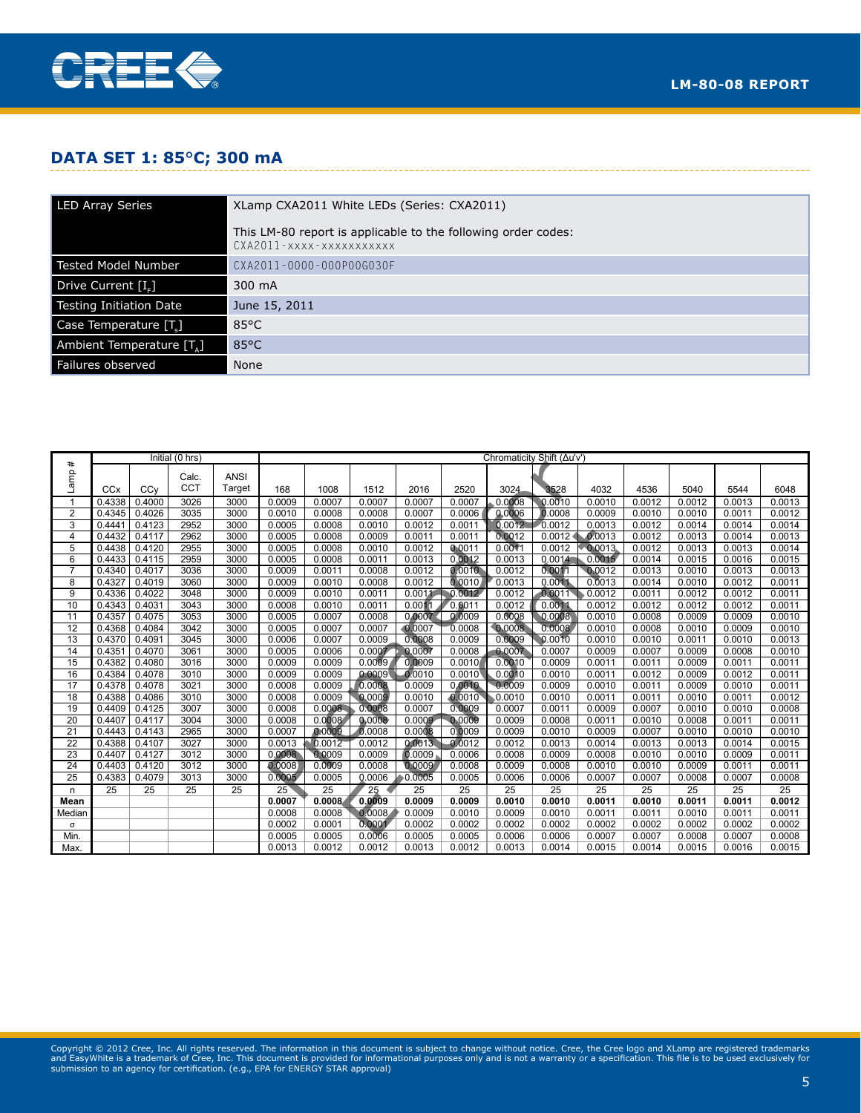

### **Data Set 1: 85**°**C; 300 mA**

| <b>LED Array Series</b>  | XLamp CXA2011 White LEDs (Series: CXA2011)                                                |
|--------------------------|-------------------------------------------------------------------------------------------|
|                          | This LM-80 report is applicable to the following order codes:<br>CXA2011-xxxx-xxxxxxxxxxx |
| Tested Model Number      | CXA2011-0000-000P00G030F                                                                  |
| Drive Current [I.]       | 300 mA                                                                                    |
| Testing Initiation Date  | June 15, 2011                                                                             |
| Case Temperature [T.]    | $85^{\circ}$ C                                                                            |
| Ambient Temperature [T.] | $85^{\circ}$ C                                                                            |
| Failures observed        | None                                                                                      |

|                       | Initial (0 hrs)  |                  |              | Chromaticity Shift (Au'v') |                  |                  |                  |                  |                  |                  |                  |                     |                  |                  |                  |                  |
|-----------------------|------------------|------------------|--------------|----------------------------|------------------|------------------|------------------|------------------|------------------|------------------|------------------|---------------------|------------------|------------------|------------------|------------------|
| #                     |                  |                  | Calc.        | <b>ANSI</b>                |                  |                  |                  |                  |                  |                  |                  |                     |                  |                  |                  |                  |
| Lamp                  |                  |                  | <b>CCT</b>   |                            |                  |                  |                  |                  |                  |                  |                  |                     |                  |                  |                  |                  |
|                       | CCx              | CCv              |              | Target                     | 168              | 1008             | 1512             | 2016             | 2520             | 3024             | 3528             | 4032                | 4536             | 5040             | 5544             | 6048             |
| 1                     | 0.4338           | 0.4000           | 3026         | 3000                       | 0.0009           | 0.0007           | 0.0007           | 0.0007           | 0.0007           | 0.0008           | 0.0010           | 0.0010              | 0.0012           | 0.0012           | 0.0013           | 0.0013           |
| $\overline{2}$        | 0.4345           | 0.4026           | 3035         | 3000                       | 0.0010           | 0.0008           | 0.0008           | 0.0007           | 0.0006           | 0.0006           | 0.0008           | 0.0009              | 0.0010           | 0.0010           | 0.0011           | 0.0012           |
| 3                     | 0.4441           | 0.4123           | 2952         | 3000                       | 0.0005           | 0.0008           | 0.0010           | 0.0012           | 0.0011           | 0.0012           | 0.0012           | 0.0013              | 0.0012           | 0.0014           | 0.0014           | 0.0014           |
| 4                     | 0.4432           | 0.4117           | 2962         | 3000                       | 0.0005           | 0.0008           | 0.0009           | 0.0011           | 0.0011           | 0.0012           | 0.0012           | 0.0013              | 0.0012           | 0.0013           | 0.0014           | 0.0013           |
| 5                     | 0.4438           | 0.4120           | 2955         | 3000                       | 0.0005           | 0.0008           | 0.0010           | 0.0012           | 0.0011           | 0.0011           | 0.0012           | 0.0013              | 0.0012           | 0.0013           | 0.0013           | 0.0014           |
| 6                     | 0.4433           | 0.4115           | 2959         | 3000                       | 0.0005           | 0.0008           | 0.0011           | 0.0013           | 0.0012           | 0.0013           | 0.0014           | 0.0015              | 0.0014           | 0.0015           | 0.0016           | 0.0015           |
| $\overline{7}$        | 0.4340           | 0.4017           | 3036         | 3000                       | 0.0009           | 0.0011           | 0.0008           | 0.0012           | 0.0010           | 0.0012           | 0.0011           | 0.0012              | 0.0013           | 0.0010           | 0.0013           | 0.0013           |
| 8                     | 0.4327           | 0.4019           | 3060         | 3000                       | 0.0009           | 0.0010           | 0.0008           | 0.0012           | 0.0010           | 0.0013           | 0.0011           | $0.\overline{0}013$ | 0.0014           | 0.0010           | 0.0012           | 0.0011           |
| $\overline{9}$<br>10  | 0.4336<br>0.4343 | 0.4022<br>0.4031 | 3048         | 3000<br>3000               | 0.0009<br>0.0008 | 0.0010<br>0.0010 | 0.0011           | 0.0011<br>0.0011 | 0.0012           | 0.0012<br>0.0012 | 0,0011<br>0.0011 | 0.0012              | 0.0011           | 0.0012<br>0.0012 | 0.0012<br>0.0012 | 0.0011           |
| 11                    |                  | 0.4075           | 3043         |                            |                  |                  | 0.0011           |                  | 0.0011           | 0.0008           |                  | 0.0012<br>0.0010    | 0.0012           |                  |                  | 0.0011           |
|                       | 0.4357           |                  | 3053         | 3000                       | 0.0005           | 0.0007<br>0.0007 | 0.0008           | 0.0007           | 0.0009           | 0.0008           | 0.0008<br>0.0008 | 0.0010              | 0.0008           | 0.0009<br>0.0010 | 0.0009<br>0.0009 | 0.0010           |
| 12<br>$\overline{13}$ | 0.4368<br>0.4370 | 0.4084<br>0.4091 | 3042<br>3045 | 3000<br>3000               | 0.0005<br>0.0006 | 0.0007           | 0.0007<br>0.0009 | 0.0007<br>0.0008 | 0.0008<br>0.0009 | 0.0009           | 0.0010           | 0.0010              | 0.0008<br>0.0010 | 0.0011           | 0.0010           | 0.0010<br>0.0013 |
| 14                    | 0.4351           | 0.4070           | 3061         | 3000                       | 0.0005           | 0.0006           | 0.0007           | 0.0007           | 0.0008           | 0.0007           | 0.0007           | 0.0009              | 0.0007           | 0.0009           | 0.0008           | 0.0010           |
| 15                    | 0.4382           | 0.4080           | 3016         | 3000                       | 0.0009           | 0.0009           | 0.0009           | 0.0009           | 0.0010           | 0.0010           | 0.0009           | 0.0011              | 0.0011           | 0.0009           | 0.0011           | 0.0011           |
| 16                    | 0.4384           | 0.4078           | 3010         | 3000                       | 0.0009           | 0.0009           | 0.0009           | 0.0010           | 0.0010           | 0.0010           | 0.0010           | 0.0011              | 0.0012           | 0.0009           | 0.0012           | 0.0011           |
| 17                    | 0.4378           | 0.4078           | 3021         | 3000                       | 0.0008           | 0.0009           | 0.0008           | 0.0009           | 0.0010           | 0.0009           | 0.0009           | 0.0010              | 0.0011           | 0.0009           | 0.0010           | 0.0011           |
| $\overline{18}$       | 0.4388           | 0.4086           | 3010         | 3000                       | 0.0008           | 0.0009           | 0.0009           | 0.0010           | 0.0010           | 0.0010           | 0.0010           | 0.0011              | 0.0011           | 0.0010           | 0.0011           | 0.0012           |
| 19                    | 0.4409           | 0.4125           | 3007         | 3000                       | 0.0008           | 0.0008           | 0.0008           | 0.0007           | 0.0009           | 0.0007           | 0.0011           | 0.0009              | 0.0007           | 0.0010           | 0.0010           | 0.0008           |
| 20                    | 0.4407           | 0.4117           | 3004         | 3000                       | 0.0008           | 0.0008           | 0.0008           | 0.0009           | 0.0009           | 0.0009           | 0.0008           | 0.0011              | 0.0010           | 0.0008           | 0.0011           | 0.0011           |
| 21                    | 0.4443           | 0.4143           | 2965         | 3000                       | 0.0007           | 0.0009           | 0.0008           | 0.0008           | 0.0009           | 0.0009           | 0.0010           | 0.0009              | 0.0007           | 0.0010           | 0.0010           | 0.0010           |
| 22                    | 0.4388           | 0.4107           | 3027         | 3000                       | 0.0013           | 0.0012           | 0.0012           | 0.0013           | 0.0012           | 0.0012           | 0.0013           | 0.0014              | 0.0013           | 0.0013           | 0.0014           | 0.0015           |
| 23                    | 0.4407           | 0.4127           | 3012         | 3000                       | 0.0008           | 0.0009           | 0.0009           | 0.0009           | 0.0006           | 0.0008           | 0.0009           | 0.0008              | 0.0010           | 0.0010           | 0.0009           | 0.0011           |
| $\overline{24}$       | 0.4403           | 0.4120           | 3012         | 3000                       | 0.0008           | 0.0009           | 0.0008           | 0.0009           | 0.0008           | 0.0009           | 0.0008           | 0.0010              | 0.0010           | 0.0009           | 0.0011           | 0.0011           |
| 25                    | 0.4383           | 0.4079           | 3013         | 3000                       | 0.0005           | 0.0005           | 0.0006           | 0.0005           | 0.0005           | 0.0006           | 0.0006           | 0.0007              | 0.0007           | 0.0008           | 0.0007           | 0.0008           |
| n                     | 25               | 25               | 25           | 25                         | 25               | 25               | 25               | 25               | 25               | 25               | 25               | 25                  | 25               | 25               | 25               | 25               |
| Mean                  |                  |                  |              |                            | 0.0007           | 0.0008           | 0.0009           | 0.0009           | 0.0009           | 0.0010           | 0.0010           | 0.0011              | 0.0010           | 0.0011           | 0.0011           | 0.0012           |
| Median                |                  |                  |              |                            | 0.0008           | 0.0008           | 0.0008           | 0.0009           | 0.0010           | 0.0009           | 0.0010           | 0.0011              | 0.0011           | 0.0010           | 0.0011           | 0.0011           |
| σ                     |                  |                  |              |                            | 0.0002           | 0.0001           | 0.0001           | 0.0002           | 0.0002           | 0.0002           | 0.0002           | 0.0002              | 0.0002           | 0.0002           | 0.0002           | 0.0002           |
| Min.                  |                  |                  |              |                            | 0.0005           | 0.0005           | 0.0006           | 0.0005           | 0.0005           | 0.0006           | 0.0006           | 0.0007              | 0.0007           | 0.0008           | 0.0007           | 0.0008           |
| Max.                  |                  |                  |              |                            | 0.0013           | 0.0012           | 0.0012           | 0.0013           | 0.0012           | 0.0013           | 0.0014           | 0.0015              | 0.0014           | 0.0015           | 0.0016           | 0.0015           |